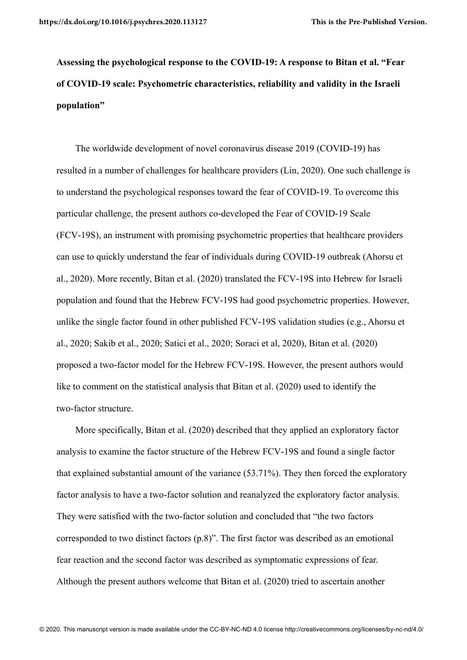**Assessing the psychological response to the COVID-19: A response to Bitan et al. "Fear of COVID-19 scale: Psychometric characteristics, reliability and validity in the Israeli population"** 

The worldwide development of novel coronavirus disease 2019 (COVID-19) has resulted in a number of challenges for healthcare providers (Lin, 2020). One such challenge is to understand the psychological responses toward the fear of COVID-19. To overcome this particular challenge, the present authors co-developed the Fear of COVID-19 Scale (FCV-19S), an instrument with promising psychometric properties that healthcare providers can use to quickly understand the fear of individuals during COVID-19 outbreak (Ahorsu et al., 2020). More recently, Bitan et al. (2020) translated the FCV-19S into Hebrew for Israeli population and found that the Hebrew FCV-19S had good psychometric properties. However, unlike the single factor found in other published FCV-19S validation studies (e.g., Ahorsu et al., 2020; Sakib et al., 2020; Satici et al., 2020; Soraci et al, 2020), Bitan et al. (2020) proposed a two-factor model for the Hebrew FCV-19S. However, the present authors would like to comment on the statistical analysis that Bitan et al. (2020) used to identify the two-factor structure.

More specifically, Bitan et al. (2020) described that they applied an exploratory factor analysis to examine the factor structure of the Hebrew FCV-19S and found a single factor that explained substantial amount of the variance (53.71%). They then forced the exploratory factor analysis to have a two-factor solution and reanalyzed the exploratory factor analysis. They were satisfied with the two-factor solution and concluded that "the two factors corresponded to two distinct factors (p.8)". The first factor was described as an emotional fear reaction and the second factor was described as symptomatic expressions of fear. Although the present authors welcome that Bitan et al. (2020) tried to ascertain another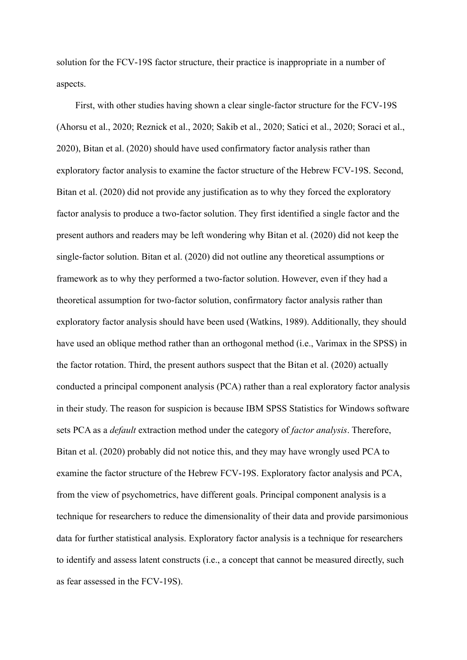solution for the FCV-19S factor structure, their practice is inappropriate in a number of aspects.

First, with other studies having shown a clear single-factor structure for the FCV-19S (Ahorsu et al., 2020; Reznick et al., 2020; Sakib et al., 2020; Satici et al., 2020; Soraci et al., 2020), Bitan et al. (2020) should have used confirmatory factor analysis rather than exploratory factor analysis to examine the factor structure of the Hebrew FCV-19S. Second, Bitan et al. (2020) did not provide any justification as to why they forced the exploratory factor analysis to produce a two-factor solution. They first identified a single factor and the present authors and readers may be left wondering why Bitan et al. (2020) did not keep the single-factor solution. Bitan et al. (2020) did not outline any theoretical assumptions or framework as to why they performed a two-factor solution. However, even if they had a theoretical assumption for two-factor solution, confirmatory factor analysis rather than exploratory factor analysis should have been used (Watkins, 1989). Additionally, they should have used an oblique method rather than an orthogonal method (i.e., Varimax in the SPSS) in the factor rotation. Third, the present authors suspect that the Bitan et al. (2020) actually conducted a principal component analysis (PCA) rather than a real exploratory factor analysis in their study. The reason for suspicion is because IBM SPSS Statistics for Windows software sets PCA as a *default* extraction method under the category of *factor analysis*. Therefore, Bitan et al. (2020) probably did not notice this, and they may have wrongly used PCA to examine the factor structure of the Hebrew FCV-19S. Exploratory factor analysis and PCA, from the view of psychometrics, have different goals. Principal component analysis is a technique for researchers to reduce the dimensionality of their data and provide parsimonious data for further statistical analysis. Exploratory factor analysis is a technique for researchers to identify and assess latent constructs (i.e., a concept that cannot be measured directly, such as fear assessed in the FCV-19S).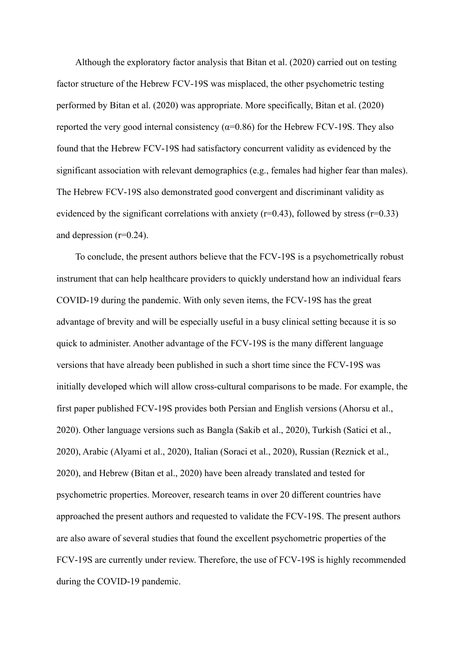Although the exploratory factor analysis that Bitan et al. (2020) carried out on testing factor structure of the Hebrew FCV-19S was misplaced, the other psychometric testing performed by Bitan et al. (2020) was appropriate. More specifically, Bitan et al. (2020) reported the very good internal consistency ( $\alpha$ =0.86) for the Hebrew FCV-19S. They also found that the Hebrew FCV-19S had satisfactory concurrent validity as evidenced by the significant association with relevant demographics (e.g., females had higher fear than males). The Hebrew FCV-19S also demonstrated good convergent and discriminant validity as evidenced by the significant correlations with anxiety ( $r=0.43$ ), followed by stress ( $r=0.33$ ) and depression (r=0.24).

To conclude, the present authors believe that the FCV-19S is a psychometrically robust instrument that can help healthcare providers to quickly understand how an individual fears COVID-19 during the pandemic. With only seven items, the FCV-19S has the great advantage of brevity and will be especially useful in a busy clinical setting because it is so quick to administer. Another advantage of the FCV-19S is the many different language versions that have already been published in such a short time since the FCV-19S was initially developed which will allow cross-cultural comparisons to be made. For example, the first paper published FCV-19S provides both Persian and English versions (Ahorsu et al., 2020). Other language versions such as Bangla (Sakib et al., 2020), Turkish (Satici et al., 2020), Arabic (Alyami et al., 2020), Italian (Soraci et al., 2020), Russian (Reznick et al., 2020), and Hebrew (Bitan et al., 2020) have been already translated and tested for psychometric properties. Moreover, research teams in over 20 different countries have approached the present authors and requested to validate the FCV-19S. The present authors are also aware of several studies that found the excellent psychometric properties of the FCV-19S are currently under review. Therefore, the use of FCV-19S is highly recommended during the COVID-19 pandemic.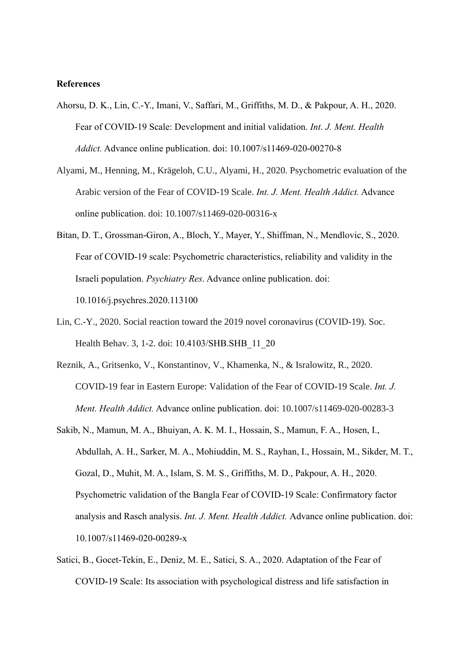## **References**

- Ahorsu, D. K., Lin, C.-Y., Imani, V., Saffari, M., Griffiths, M. D., & Pakpour, A. H., 2020. Fear of COVID-19 Scale: Development and initial validation. *Int. J. Ment. Health Addict.* Advance online publication. doi: 10.1007/s11469-020-00270-8
- Alyami, M., Henning, M., Krägeloh, C.U., Alyami, H., 2020. Psychometric evaluation of the Arabic version of the Fear of COVID-19 Scale. *Int. J. Ment. Health Addict.* Advance online publication. doi: 10.1007/s11469-020-00316-x
- Bitan, D. T., Grossman-Giron, A., Bloch, Y., Mayer, Y., Shiffman, N., Mendlovic, S., 2020. Fear of COVID-19 scale: Psychometric characteristics, reliability and validity in the Israeli population. *Psychiatry Res*. Advance online publication. doi: 10.1016/j.psychres.2020.113100
- Lin, C.-Y., 2020. Social reaction toward the 2019 novel coronavirus (COVID-19). Soc. Health Behav. 3, 1-2. doi: 10.4103/SHB.SHB\_11\_20
- Reznik, A., Gritsenko, V., Konstantinov, V., Khamenka, N., & Isralowitz, R., 2020. COVID-19 fear in Eastern Europe: Validation of the Fear of COVID-19 Scale. *Int. J. Ment. Health Addict.* Advance online publication. doi: 10.1007/s11469-020-00283-3
- Sakib, N., Mamun, M. A., Bhuiyan, A. K. M. I., Hossain, S., Mamun, F. A., Hosen, I., Abdullah, A. H., Sarker, M. A., Mohiuddin, M. S., Rayhan, I., Hossain, M., Sikder, M. T., Gozal, D., Muhit, M. A., Islam, S. M. S., Griffiths, M. D., Pakpour, A. H., 2020. Psychometric validation of the Bangla Fear of COVID-19 Scale: Confirmatory factor analysis and Rasch analysis. *Int. J. Ment. Health Addict.* Advance online publication. doi: 10.1007/s11469-020-00289-x
- Satici, B., Gocet-Tekin, E., Deniz, M. E., Satici, S. A., 2020. Adaptation of the Fear of COVID-19 Scale: Its association with psychological distress and life satisfaction in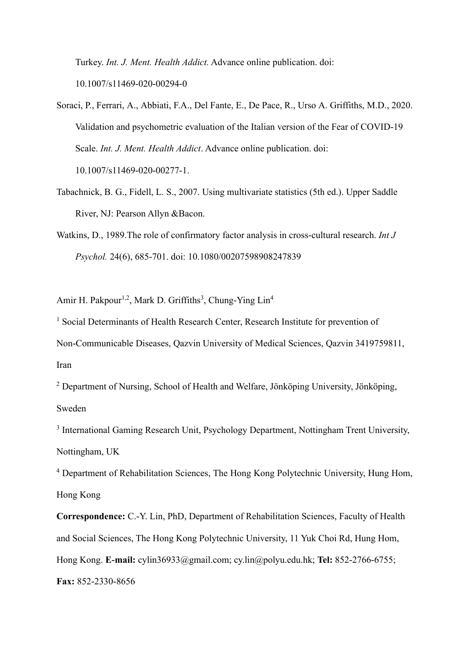Turkey. *Int. J. Ment. Health Addict.* Advance online publication. doi: 10.1007/s11469-020-00294-0

- Soraci, P., Ferrari, A., Abbiati, F.A., Del Fante, E., De Pace, R., Urso A. Griffiths, M.D., 2020. Validation and psychometric evaluation of the Italian version of the Fear of COVID-19 Scale. *Int. J. Ment. Health Addict*. Advance online publication. doi: 10.1007/s11469-020-00277-1.
- Tabachnick, B. G., Fidell, L. S., 2007. Using multivariate statistics (5th ed.). Upper Saddle River, NJ: Pearson Allyn &Bacon.
- Watkins, D., 1989.The role of confirmatory factor analysis in cross-cultural research. *Int J Psychol.* 24(6), 685-701. doi: 10.1080/00207598908247839

Amir H. Pakpour<sup>1,2</sup>, Mark D. Griffiths<sup>3</sup>, Chung-Ying Lin<sup>4</sup>

<sup>1</sup> Social Determinants of Health Research Center, Research Institute for prevention of Non-Communicable Diseases, Qazvin University of Medical Sciences, Qazvin 3419759811, Iran

<sup>2</sup> Department of Nursing, School of Health and Welfare, Jönköping University, Jönköping, Sweden

<sup>3</sup> International Gaming Research Unit, Psychology Department, Nottingham Trent University, Nottingham, UK

<sup>4</sup> Department of Rehabilitation Sciences, The Hong Kong Polytechnic University, Hung Hom, Hong Kong

**Correspondence:** C.-Y. Lin, PhD, Department of Rehabilitation Sciences, Faculty of Health and Social Sciences, The Hong Kong Polytechnic University, 11 Yuk Choi Rd, Hung Hom, Hong Kong. **E-mail:** cylin36933@gmail.com; cy.lin@polyu.edu.hk; **Tel:** 852-2766-6755; **Fax:** 852-2330-8656